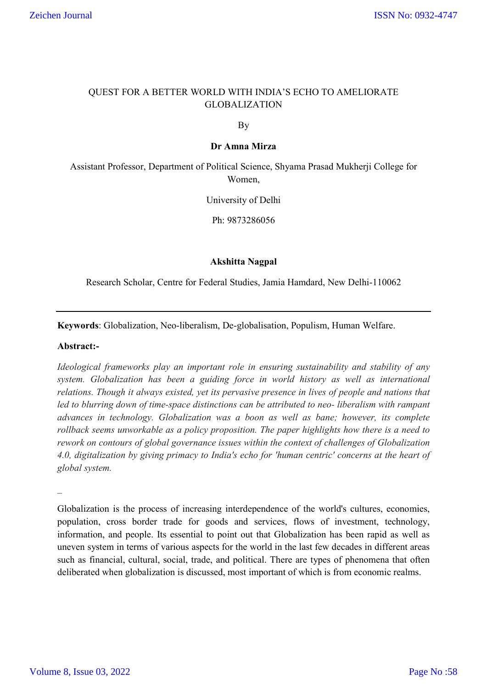# QUEST FOR A BETTER WORLD WITH INDIA'S ECHO TO AMELIORATE GLOBALIZATION

By

## **Dr Amna Mirza**

Assistant Professor, Department of Political Science, Shyama Prasad Mukherji College for Women,

University of Delhi

Ph: 9873286056

## **Akshitta Nagpal**

Research Scholar, Centre for Federal Studies, Jamia Hamdard, New Delhi-110062

**Keywords**: Globalization, Neo-liberalism, De-globalisation, Populism, Human Welfare.

### **Abstract:-**

*Ideological frameworks play an important role in ensuring sustainability and stability of any system. Globalization has been a guiding force in world history as well as international relations. Though it always existed, yet its pervasive presence in lives of people and nations that led to blurring down of time-space distinctions can be attributed to neo- liberalism with rampant advances in technology. Globalization was a boon as well as bane; however, its complete rollback seems unworkable as a policy proposition. The paper highlights how there is a need to rework on contours of global governance issues within the context of challenges of Globalization 4.0, digitalization by giving primacy to India's echo for 'human centric' concerns at the heart of global system.*

*\_*

Globalization is the process of increasing interdependence of the world's cultures, economies, population, cross border trade for goods and services, flows of investment, technology, information, and people. Its essential to point out that Globalization has been rapid as well as uneven system in terms of various aspects for the world in the last few decades in different areas such as financial, cultural, social, trade, and political. There are types of phenomena that often deliberated when globalization is discussed, most important of which is from economic realms.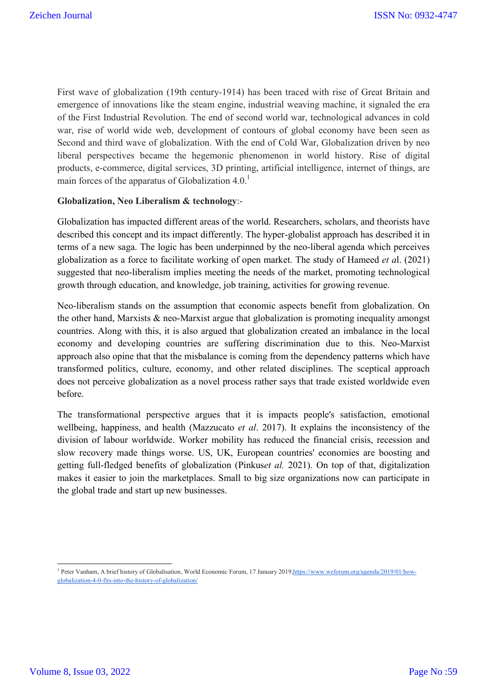First wave of globalization (19th century-1914) has been traced with rise of Great Britain and emergence of innovations like the steam engine, industrial weaving machine, it signaled the era of the First Industrial Revolution. The end of second world war, technological advances in cold war, rise of world wide web, development of contours of global economy have been seen as Second and third wave of globalization. With the end of Cold War, Globalization driven by neo liberal perspectives became the hegemonic phenomenon in world history. Rise of digital products, e-commerce, digital services, 3D printing, artificial intelligence, internet of things, are main forces of the apparatus of Globalization  $4.0<sup>1</sup>$ 

# **Globalization, Neo Liberalism & technology**:-

Globalization has impacted different areas of the world. Researchers, scholars, and theorists have described this concept and its impact differently. The hyper-globalist approach has described it in terms of a new saga. The logic has been underpinned by the neo-liberal agenda which perceives globalization as a force to facilitate working of open market. The study of Hameed *et a*l. (2021) suggested that neo-liberalism implies meeting the needs of the market, promoting technological growth through education, and knowledge, job training, activities for growing revenue.

Neo-liberalism stands on the assumption that economic aspects benefit from globalization. On the other hand, Marxists & neo-Marxist argue that globalization is promoting inequality amongst countries. Along with this, it is also argued that globalization created an imbalance in the local economy and developing countries are suffering discrimination due to this. Neo-Marxist approach also opine that that the misbalance is coming from the dependency patterns which have transformed politics, culture, economy, and other related disciplines. The sceptical approach does not perceive globalization as a novel process rather says that trade existed worldwide even before.

The transformational perspective argues that it is impacts people's satisfaction, emotional wellbeing, happiness, and health (Mazzucato *et al*. 2017). It explains the inconsistency of the division of labour worldwide. Worker mobility has reduced the financial crisis, recession and slow recovery made things worse. US, UK, European countries' economies are boosting and getting full-fledged benefits of globalization (Pinkus*et al.* 2021). On top of that, digitalization makes it easier to join the marketplaces. Small to big size organizations now can participate in the global trade and start up new businesses.

**.** 

<sup>&</sup>lt;sup>1</sup> Peter Vanham, A brief history of Globalisation, World Economic Forum, 17 January 2019,https://www.weforum.org/agenda/2019/01/howglobalization-4-0-fits-into-the-history-of-globalization/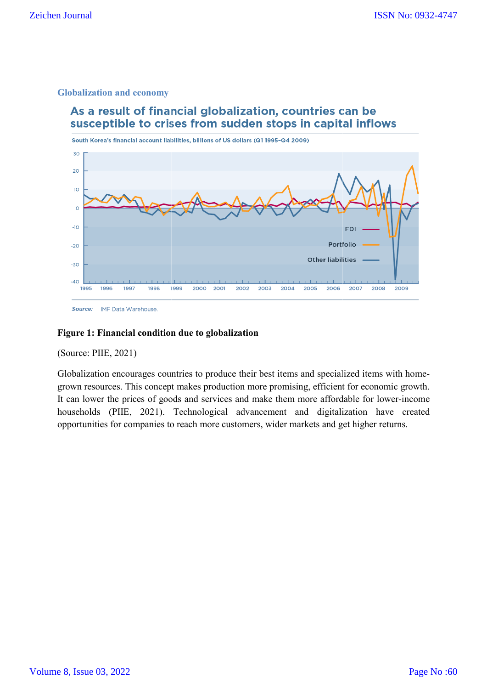## **Globalization and economy**



## **Figure 1: Financial condition due to globalization**

(Source: PIIE, 2021)

Globalization encourages countries to produce their best items and specialized items with home grown resources. This concept makes production more promising, efficient for economic growth. grown resources. This concept makes production more promising, efficient for economic growth.<br>It can lower the prices of goods and services and make them more affordable for lower-income households (PIIE, 2021). Technological advancement and digitalization have created opportunities for companies to reach more customers, wider markets and get higher returns. is countries to produce their best items and specialized items with home-<br>neept makes production more promising, efficient for economic growth.<br>If goods and services and make them more affordable for lower-income<br>21). Tech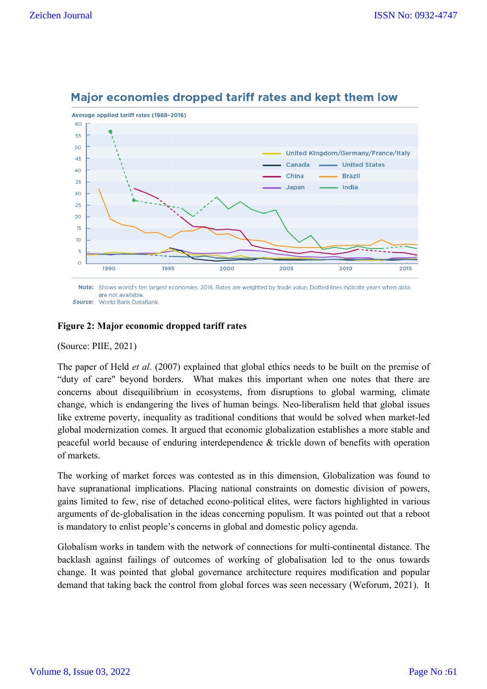

# Major economies dropped tariff rates and kept them low

Note: Shows world's ten largest economies, 2016. Rates are weighted by trade value. Dotted lines indicate years when data are not available. **Source:** World Bank DataBank

# **Figure 2: Major economic dropped tariff rates ajor economic**

## (Source: PIIE, 2021)

The paper of Held *et al*. (2007) explained that global ethics needs to be built on the premise of "duty of care" beyond borders. What makes this important when one notes that there are concerns about disequilibrium in ecosystems, from disruptions to global warming, climate change, which is endangering the lives of human beings. Neo-liberalism held that global like extreme poverty, inequality as traditional conditions that would be solved when ma market-led global modernization comes. It argued that economic globalization establishes a more stable and peaceful world because of enduring interdependence & trickle down of benefits with operation of markets. built on the premise of<br>t when one notes that there are<br>ons to global warming, climate<br>liberalism held that global issues

The working of market forces was contested as in this dimension, Globalization was found to have supranational implications. Placing national constraints on domestic division of powers, gains limited to few, rise of detached e econo-political elites, were factors highlighted in various arguments of de-globalisation in the ideas concerning populism. It was pointed out that is mandatory to enlist people's concerns in global and domestic policy agenda. lization establishes a more stable and<br>ckle down of benefits with operation<br>mension, Globalization was found to<br>nts on domestic division of powers,<br>, were factors highlighted in various<br>lism. It was pointed out that a rebo

Globalism works in tandem with the network of connections for multi-continental distance. The backlash against failings of outcomes of working of globalisation led to the onus towards backlash against failings of outcomes of working of globalisation led to the onus towards<br>change. It was pointed that global governance architecture requires modification and popular demand that taking back the control from global forces was seen necessary (Weforum, 2021). It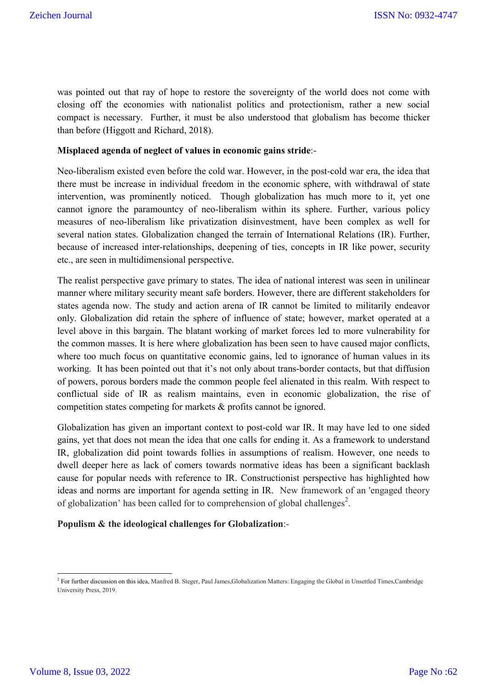was pointed out that ray of hope to restore the sovereignty of the world does not come with closing off the economies with nationalist politics and protectionism, rather a new social compact is necessary. Further, it must be also understood that globalism has become thicker than before (Higgott and Richard, 2018).

## **Misplaced agenda of neglect of values in economic gains stride**:-

Neo-liberalism existed even before the cold war. However, in the post-cold war era, the idea that there must be increase in individual freedom in the economic sphere, with withdrawal of state intervention, was prominently noticed. Though globalization has much more to it, yet one cannot ignore the paramountcy of neo-liberalism within its sphere. Further, various policy measures of neo-liberalism like privatization disinvestment, have been complex as well for several nation states. Globalization changed the terrain of International Relations (IR). Further, because of increased inter-relationships, deepening of ties, concepts in IR like power, security etc., are seen in multidimensional perspective.

The realist perspective gave primary to states. The idea of national interest was seen in unilinear manner where military security meant safe borders. However, there are different stakeholders for states agenda now. The study and action arena of IR cannot be limited to militarily endeavor only. Globalization did retain the sphere of influence of state; however, market operated at a level above in this bargain. The blatant working of market forces led to more vulnerability for the common masses. It is here where globalization has been seen to have caused major conflicts, where too much focus on quantitative economic gains, led to ignorance of human values in its working. It has been pointed out that it's not only about trans-border contacts, but that diffusion of powers, porous borders made the common people feel alienated in this realm. With respect to conflictual side of IR as realism maintains, even in economic globalization, the rise of competition states competing for markets & profits cannot be ignored.

Globalization has given an important context to post-cold war IR. It may have led to one sided gains, yet that does not mean the idea that one calls for ending it. As a framework to understand IR, globalization did point towards follies in assumptions of realism. However, one needs to dwell deeper here as lack of comers towards normative ideas has been a significant backlash cause for popular needs with reference to IR. Constructionist perspective has highlighted how ideas and norms are important for agenda setting in IR. New framework of an 'engaged theory of globalization' has been called for to comprehension of global challenges<sup>2</sup>.

## **Populism & the ideological challenges for Globalization**:-

**<sup>.</sup>** <sup>2</sup> For further discussion on this idea, Manfred B. Steger, Paul James,Globalization Matters: Engaging the Global in Unsettled Times,Cambridge University Press, 2019.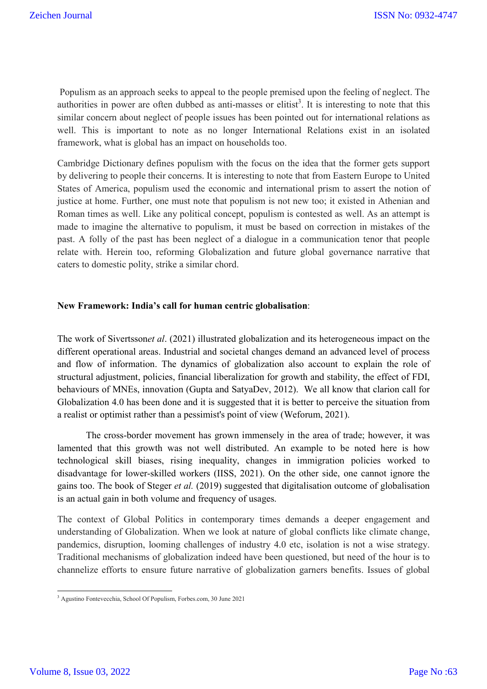Populism as an approach seeks to appeal to the people premised upon the feeling of neglect. The authorities in power are often dubbed as anti-masses or elitist<sup>3</sup>. It is interesting to note that this similar concern about neglect of people issues has been pointed out for international relations as well. This is important to note as no longer International Relations exist in an isolated framework, what is global has an impact on households too.

Cambridge Dictionary defines populism with the focus on the idea that the former gets support by delivering to people their concerns. It is interesting to note that from Eastern Europe to United States of America, populism used the economic and international prism to assert the notion of justice at home. Further, one must note that populism is not new too; it existed in Athenian and Roman times as well. Like any political concept, populism is contested as well. As an attempt is made to imagine the alternative to populism, it must be based on correction in mistakes of the past. A folly of the past has been neglect of a dialogue in a communication tenor that people relate with. Herein too, reforming Globalization and future global governance narrative that caters to domestic polity, strike a similar chord.

## **New Framework: India's call for human centric globalisation**:

The work of Sivertsson*et al*. (2021) illustrated globalization and its heterogeneous impact on the different operational areas. Industrial and societal changes demand an advanced level of process and flow of information. The dynamics of globalization also account to explain the role of structural adjustment, policies, financial liberalization for growth and stability, the effect of FDI, behaviours of MNEs, innovation (Gupta and SatyaDev, 2012). We all know that clarion call for Globalization 4.0 has been done and it is suggested that it is better to perceive the situation from a realist or optimist rather than a pessimist's point of view (Weforum, 2021).

The cross-border movement has grown immensely in the area of trade; however, it was lamented that this growth was not well distributed. An example to be noted here is how technological skill biases, rising inequality, changes in immigration policies worked to disadvantage for lower-skilled workers (IISS, 2021). On the other side, one cannot ignore the gains too. The book of Steger *et al.* (2019) suggested that digitalisation outcome of globalisation is an actual gain in both volume and frequency of usages.

The context of Global Politics in contemporary times demands a deeper engagement and understanding of Globalization. When we look at nature of global conflicts like climate change, pandemics, disruption, looming challenges of industry 4.0 etc, isolation is not a wise strategy. Traditional mechanisms of globalization indeed have been questioned, but need of the hour is to channelize efforts to ensure future narrative of globalization garners benefits. Issues of global

**<sup>.</sup>** <sup>3</sup> Agustino Fontevecchia, School Of Populism, Forbes.com, 30 June 2021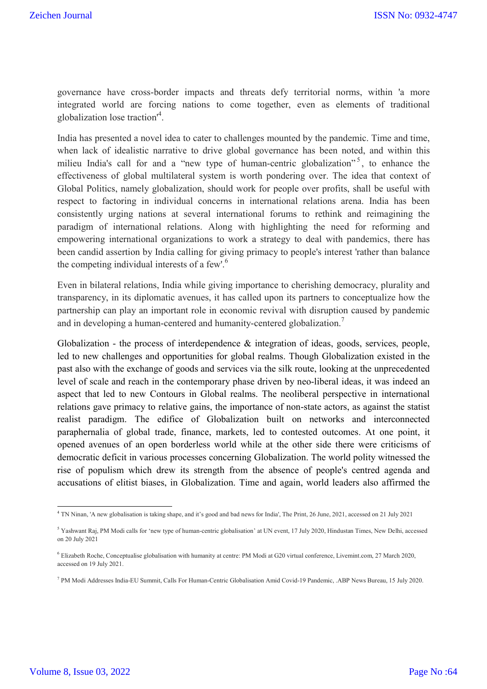governance have cross-border impacts and threats defy territorial norms, within 'a more integrated world are forcing nations to come together, even as elements of traditional globalization lose traction'<sup>4</sup> .

India has presented a novel idea to cater to challenges mounted by the pandemic. Time and time, when lack of idealistic narrative to drive global governance has been noted, and within this milieu India's call for and a "new type of human-centric globalization"<sup>5</sup>, to enhance the effectiveness of global multilateral system is worth pondering over. The idea that context of Global Politics, namely globalization, should work for people over profits, shall be useful with respect to factoring in individual concerns in international relations arena. India has been consistently urging nations at several international forums to rethink and reimagining the paradigm of international relations. Along with highlighting the need for reforming and empowering international organizations to work a strategy to deal with pandemics, there has been candid assertion by India calling for giving primacy to people's interest 'rather than balance the competing individual interests of a few'.<sup>6</sup>

Even in bilateral relations, India while giving importance to cherishing democracy, plurality and transparency, in its diplomatic avenues, it has called upon its partners to conceptualize how the partnership can play an important role in economic revival with disruption caused by pandemic and in developing a human-centered and humanity-centered globalization.<sup>7</sup>

Globalization - the process of interdependence & integration of ideas, goods, services, people, led to new challenges and opportunities for global realms. Though Globalization existed in the past also with the exchange of goods and services via the silk route, looking at the unprecedented level of scale and reach in the contemporary phase driven by neo-liberal ideas, it was indeed an aspect that led to new Contours in Global realms. The neoliberal perspective in international relations gave primacy to relative gains, the importance of non-state actors, as against the statist realist paradigm. The edifice of Globalization built on networks and interconnected paraphernalia of global trade, finance, markets, led to contested outcomes. At one point, it opened avenues of an open borderless world while at the other side there were criticisms of democratic deficit in various processes concerning Globalization. The world polity witnessed the rise of populism which drew its strength from the absence of people's centred agenda and accusations of elitist biases, in Globalization. Time and again, world leaders also affirmed the

**.** 

<sup>4</sup> TN Ninan, 'A new globalisation is taking shape, and it's good and bad news for India', The Print, 26 June, 2021, accessed on 21 July 2021

<sup>5</sup> Yashwant Raj, PM Modi calls for 'new type of human-centric globalisation' at UN event, 17 July 2020, Hindustan Times, New Delhi, accessed on 20 July 2021

<sup>6</sup> Elizabeth Roche, Conceptualise globalisation with humanity at centre: PM Modi at G20 virtual conference, Livemint.com, 27 March 2020, accessed on 19 July 2021.

<sup>7</sup> PM Modi Addresses India-EU Summit, Calls For Human-Centric Globalisation Amid Covid-19 Pandemic, .ABP News Bureau, 15 July 2020.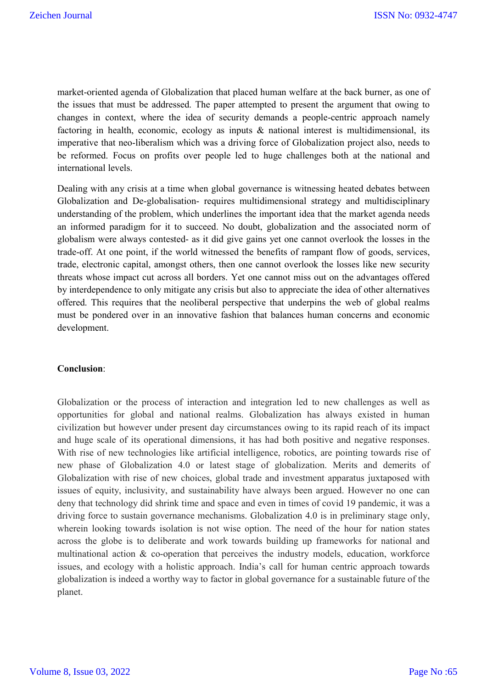market-oriented agenda of Globalization that placed human welfare at the back burner, as one of the issues that must be addressed. The paper attempted to present the argument that owing to changes in context, where the idea of security demands a people-centric approach namely factoring in health, economic, ecology as inputs  $\&$  national interest is multidimensional, its imperative that neo-liberalism which was a driving force of Globalization project also, needs to be reformed. Focus on profits over people led to huge challenges both at the national and international levels.

Dealing with any crisis at a time when global governance is witnessing heated debates between Globalization and De-globalisation- requires multidimensional strategy and multidisciplinary understanding of the problem, which underlines the important idea that the market agenda needs an informed paradigm for it to succeed. No doubt, globalization and the associated norm of globalism were always contested- as it did give gains yet one cannot overlook the losses in the trade-off. At one point, if the world witnessed the benefits of rampant flow of goods, services, trade, electronic capital, amongst others, then one cannot overlook the losses like new security threats whose impact cut across all borders. Yet one cannot miss out on the advantages offered by interdependence to only mitigate any crisis but also to appreciate the idea of other alternatives offered. This requires that the neoliberal perspective that underpins the web of global realms must be pondered over in an innovative fashion that balances human concerns and economic development.

## **Conclusion**:

Globalization or the process of interaction and integration led to new challenges as well as opportunities for global and national realms. Globalization has always existed in human civilization but however under present day circumstances owing to its rapid reach of its impact and huge scale of its operational dimensions, it has had both positive and negative responses. With rise of new technologies like artificial intelligence, robotics, are pointing towards rise of new phase of Globalization 4.0 or latest stage of globalization. Merits and demerits of Globalization with rise of new choices, global trade and investment apparatus juxtaposed with issues of equity, inclusivity, and sustainability have always been argued. However no one can deny that technology did shrink time and space and even in times of covid 19 pandemic, it was a driving force to sustain governance mechanisms. Globalization 4.0 is in preliminary stage only, wherein looking towards isolation is not wise option. The need of the hour for nation states across the globe is to deliberate and work towards building up frameworks for national and multinational action & co-operation that perceives the industry models, education, workforce issues, and ecology with a holistic approach. India's call for human centric approach towards globalization is indeed a worthy way to factor in global governance for a sustainable future of the planet.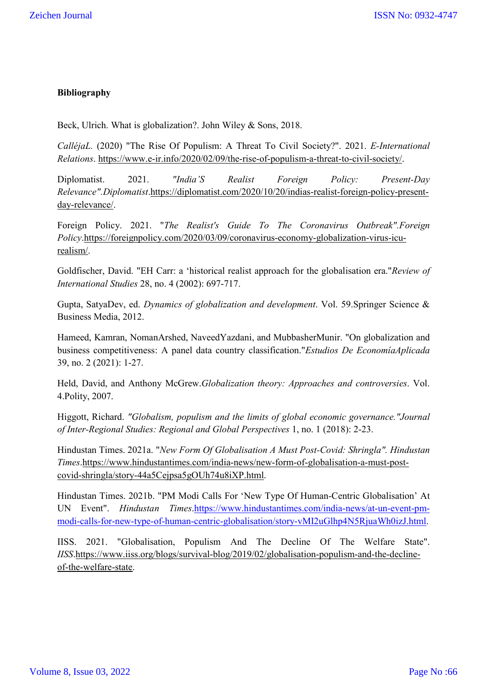# **Bibliography**

Beck, Ulrich. What is globalization?. John Wiley & Sons, 2018.

*CalléjaL.* (2020) "The Rise Of Populism: A Threat To Civil Society?". 2021. *E-International Relations*. https://www.e-ir.info/2020/02/09/the-rise-of-populism-a-threat-to-civil-society/.

Diplomatist. 2021. *"India'S Realist Foreign Policy: Present-Day Relevance".Diplomatist*.https://diplomatist.com/2020/10/20/indias-realist-foreign-policy-presentday-relevance/.

Foreign Policy. 2021. "*The Realist's Guide To The Coronavirus Outbreak".Foreign Policy*.https://foreignpolicy.com/2020/03/09/coronavirus-economy-globalization-virus-icurealism/.

Goldfischer, David. "EH Carr: a 'historical realist approach for the globalisation era."*Review of International Studies* 28, no. 4 (2002): 697-717.

Gupta, SatyaDev, ed. *Dynamics of globalization and development*. Vol. 59.Springer Science & Business Media, 2012.

Hameed, Kamran, NomanArshed, NaveedYazdani, and MubbasherMunir. "On globalization and business competitiveness: A panel data country classification."*Estudios De EconomíaAplicada* 39, no. 2 (2021): 1-27.

Held, David, and Anthony McGrew.*Globalization theory: Approaches and controversies*. Vol. 4.Polity, 2007.

Higgott, Richard. *"Globalism, populism and the limits of global economic governance."Journal of Inter-Regional Studies: Regional and Global Perspectives* 1, no. 1 (2018): 2-23.

Hindustan Times. 2021a. "*New Form Of Globalisation A Must Post-Covid: Shringla". Hindustan Times*.https://www.hindustantimes.com/india-news/new-form-of-globalisation-a-must-postcovid-shringla/story-44a5Cejpsa5gOUh74u8iXP.html.

Hindustan Times. 2021b. "PM Modi Calls For 'New Type Of Human-Centric Globalisation' At UN Event". *Hindustan Times*.https://www.hindustantimes.com/india-news/at-un-event-pmmodi-calls-for-new-type-of-human-centric-globalisation/story-vMI2uGlhp4N5RjuaWh0izJ.html.

IISS. 2021. "Globalisation, Populism And The Decline Of The Welfare State". *IISS*.https://www.iiss.org/blogs/survival-blog/2019/02/globalisation-populism-and-the-declineof-the-welfare-state.